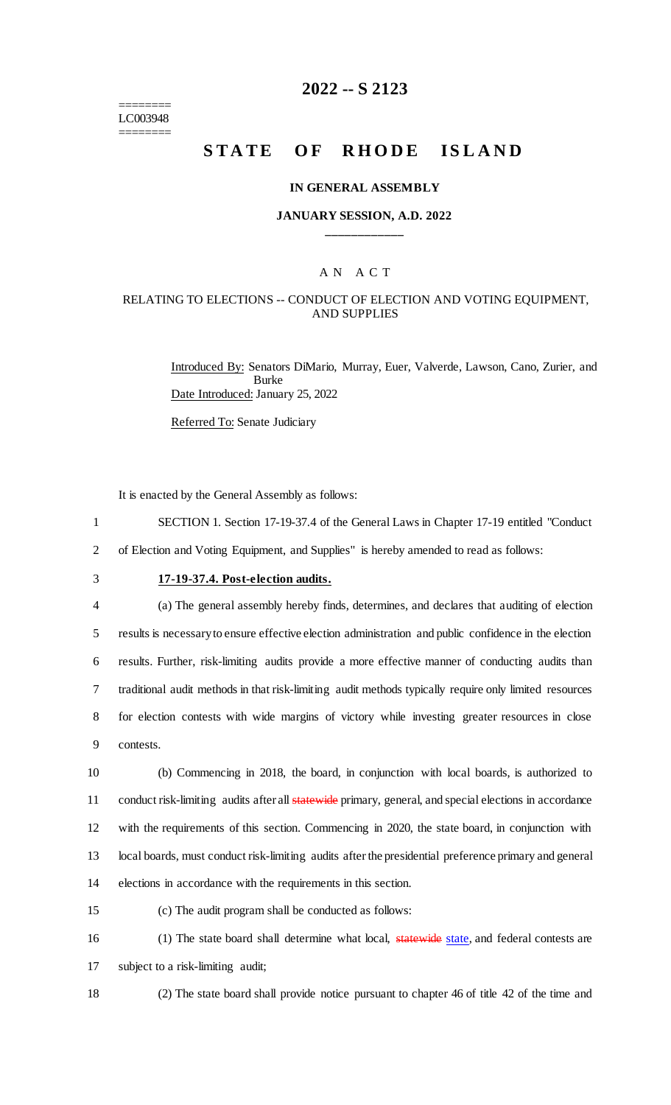======== LC003948 ========

## **2022 -- S 2123**

# **STATE OF RHODE ISLAND**

#### **IN GENERAL ASSEMBLY**

#### **JANUARY SESSION, A.D. 2022 \_\_\_\_\_\_\_\_\_\_\_\_**

## A N A C T

## RELATING TO ELECTIONS -- CONDUCT OF ELECTION AND VOTING EQUIPMENT, AND SUPPLIES

Introduced By: Senators DiMario, Murray, Euer, Valverde, Lawson, Cano, Zurier, and Burke Date Introduced: January 25, 2022

Referred To: Senate Judiciary

It is enacted by the General Assembly as follows:

- 1 SECTION 1. Section 17-19-37.4 of the General Laws in Chapter 17-19 entitled "Conduct
- 2 of Election and Voting Equipment, and Supplies" is hereby amended to read as follows:
- 

## 3 **17-19-37.4. Post-election audits.**

 (a) The general assembly hereby finds, determines, and declares that auditing of election results is necessary to ensure effective election administration and public confidence in the election results. Further, risk-limiting audits provide a more effective manner of conducting audits than traditional audit methods in that risk-limiting audit methods typically require only limited resources for election contests with wide margins of victory while investing greater resources in close contests.

 (b) Commencing in 2018, the board, in conjunction with local boards, is authorized to 11 conduct risk-limiting audits after all statewide primary, general, and special elections in accordance with the requirements of this section. Commencing in 2020, the state board, in conjunction with local boards, must conduct risk-limiting audits after the presidential preference primary and general elections in accordance with the requirements in this section.

- 
- 15 (c) The audit program shall be conducted as follows:

16 (1) The state board shall determine what local, statewide state, and federal contests are 17 subject to a risk-limiting audit;

18 (2) The state board shall provide notice pursuant to chapter 46 of title 42 of the time and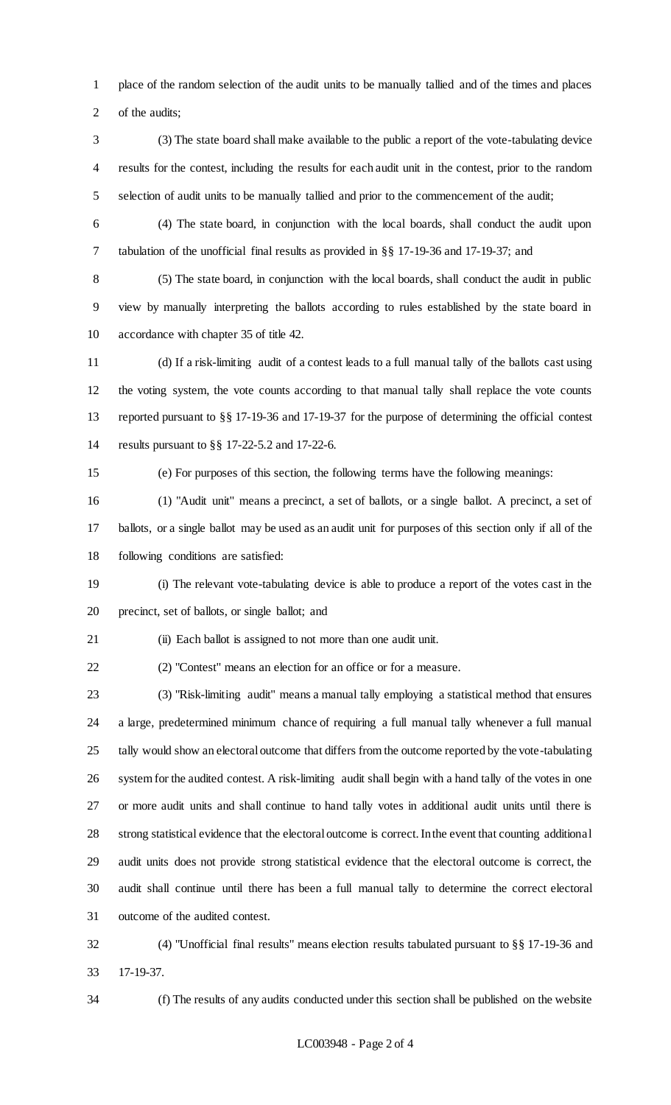place of the random selection of the audit units to be manually tallied and of the times and places 2 of the audits;

- (3) The state board shall make available to the public a report of the vote-tabulating device results for the contest, including the results for each audit unit in the contest, prior to the random selection of audit units to be manually tallied and prior to the commencement of the audit;
- 

 (4) The state board, in conjunction with the local boards, shall conduct the audit upon tabulation of the unofficial final results as provided in §§ 17-19-36 and 17-19-37; and

 (5) The state board, in conjunction with the local boards, shall conduct the audit in public view by manually interpreting the ballots according to rules established by the state board in accordance with chapter 35 of title 42.

 (d) If a risk-limiting audit of a contest leads to a full manual tally of the ballots cast using the voting system, the vote counts according to that manual tally shall replace the vote counts reported pursuant to §§ 17-19-36 and 17-19-37 for the purpose of determining the official contest results pursuant to §§ 17-22-5.2 and 17-22-6.

(e) For purposes of this section, the following terms have the following meanings:

 (1) "Audit unit" means a precinct, a set of ballots, or a single ballot. A precinct, a set of ballots, or a single ballot may be used as an audit unit for purposes of this section only if all of the following conditions are satisfied:

 (i) The relevant vote-tabulating device is able to produce a report of the votes cast in the precinct, set of ballots, or single ballot; and

21 (ii) Each ballot is assigned to not more than one audit unit.

(2) "Contest" means an election for an office or for a measure.

 (3) "Risk-limiting audit" means a manual tally employing a statistical method that ensures a large, predetermined minimum chance of requiring a full manual tally whenever a full manual tally would show an electoral outcome that differs from the outcome reported by the vote-tabulating system for the audited contest. A risk-limiting audit shall begin with a hand tally of the votes in one or more audit units and shall continue to hand tally votes in additional audit units until there is strong statistical evidence that the electoral outcome is correct. In the event that counting additional audit units does not provide strong statistical evidence that the electoral outcome is correct, the audit shall continue until there has been a full manual tally to determine the correct electoral outcome of the audited contest.

 (4) "Unofficial final results" means election results tabulated pursuant to §§ 17-19-36 and 17-19-37.

(f) The results of any audits conducted under this section shall be published on the website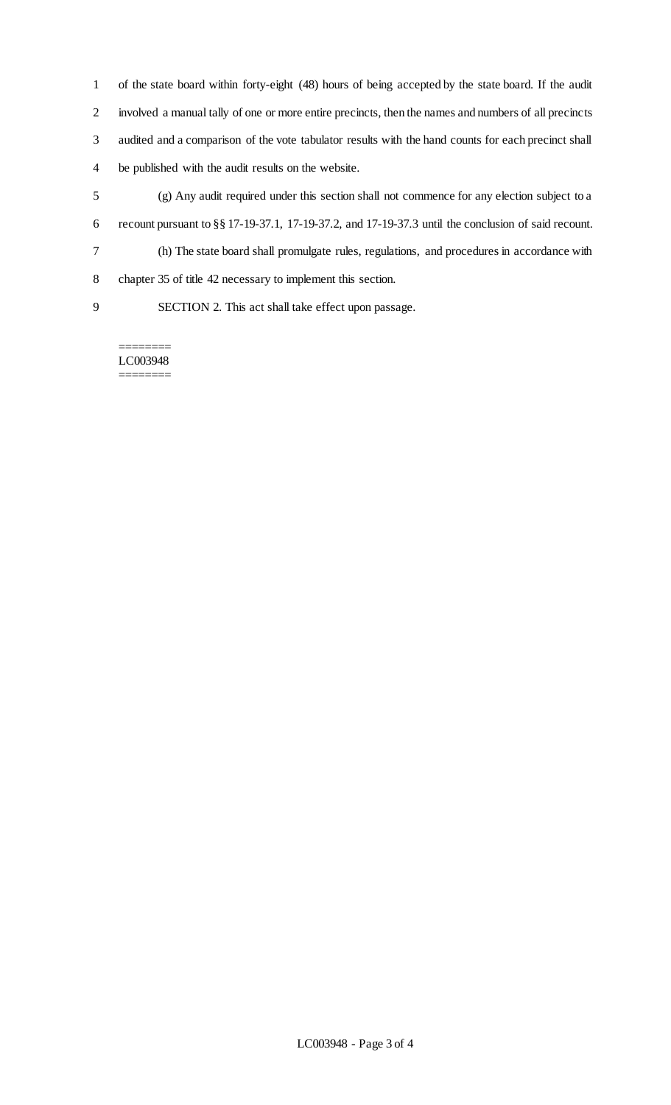of the state board within forty-eight (48) hours of being accepted by the state board. If the audit involved a manual tally of one or more entire precincts, then the names and numbers of all precincts audited and a comparison of the vote tabulator results with the hand counts for each precinct shall be published with the audit results on the website.

 (g) Any audit required under this section shall not commence for any election subject to a recount pursuant to §§ 17-19-37.1, 17-19-37.2, and 17-19-37.3 until the conclusion of said recount. (h) The state board shall promulgate rules, regulations, and procedures in accordance with chapter 35 of title 42 necessary to implement this section.

SECTION 2. This act shall take effect upon passage.

======== LC003948 ========